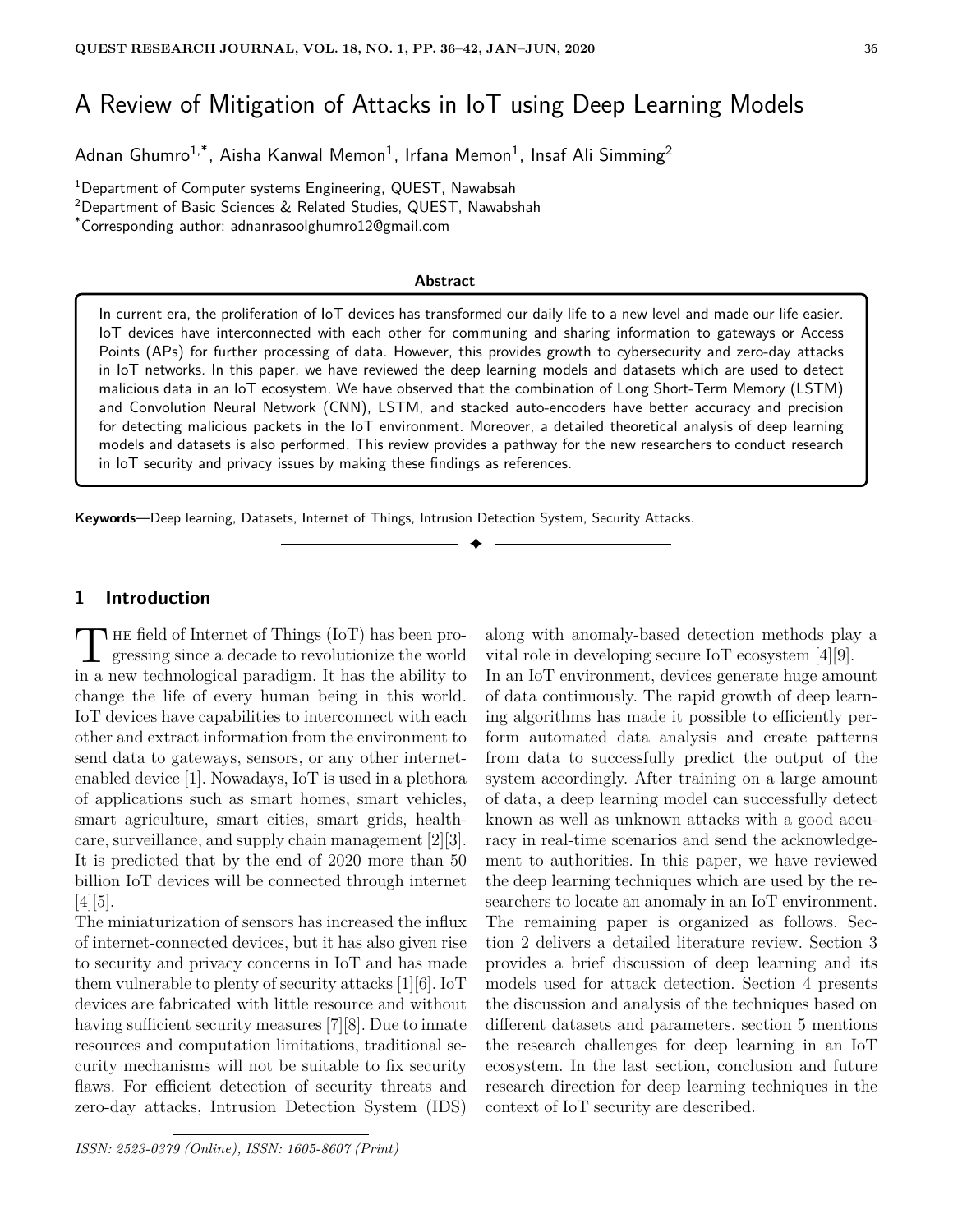# A Review of Mitigation of Attacks in IoT using Deep Learning Models

Adnan Ghumro $^{1,\ast}$ , Aisha Kanwal Memon $^{1}$ , Irfana Memon $^{1}$ , Insaf Ali Simming $^{2}$ 

<sup>1</sup>Department of Computer systems Engineering, QUEST, Nawabsah

<sup>2</sup>Department of Basic Sciences & Related Studies, QUEST, Nawabshah

\*Corresponding author: adnanrasoolghumro12@gmail.com

#### **Abstract**

In current era, the proliferation of IoT devices has transformed our daily life to a new level and made our life easier. IoT devices have interconnected with each other for communing and sharing information to gateways or Access Points (APs) for further processing of data. However, this provides growth to cybersecurity and zero-day attacks in IoT networks. In this paper, we have reviewed the deep learning models and datasets which are used to detect malicious data in an IoT ecosystem. We have observed that the combination of Long Short-Term Memory (LSTM) and Convolution Neural Network (CNN), LSTM, and stacked auto-encoders have better accuracy and precision for detecting malicious packets in the IoT environment. Moreover, a detailed theoretical analysis of deep learning models and datasets is also performed. This review provides a pathway for the new researchers to conduct research in IoT security and privacy issues by making these findings as references.

✦

**Keywords**—Deep learning, Datasets, Internet of Things, Intrusion Detection System, Security Attacks.

# **1 Introduction**

The field of Internet of Things (IoT) has been progressing since a decade to revolutionize the world<br>in a new technological paradigm. It has the ability to  $\blacksquare$  HE field of Internet of Things (IoT) has been progressing since a decade to revolutionize the world change the life of every human being in this world. IoT devices have capabilities to interconnect with each other and extract information from the environment to send data to gateways, sensors, or any other internetenabled device [1]. Nowadays, IoT is used in a plethora of applications such as smart homes, smart vehicles, smart agriculture, smart cities, smart grids, healthcare, surveillance, and supply chain management [2][3]. It is predicted that by the end of 2020 more than 50 billion IoT devices will be connected through internet [4][5].

The miniaturization of sensors has increased the influx of internet-connected devices, but it has also given rise to security and privacy concerns in IoT and has made them vulnerable to plenty of security attacks [1][6]. IoT devices are fabricated with little resource and without having sufficient security measures [7][8]. Due to innate resources and computation limitations, traditional security mechanisms will not be suitable to fix security flaws. For efficient detection of security threats and zero-day attacks, Intrusion Detection System (IDS)

*ISSN: 2523-0379 (Online), ISSN: 1605-8607 (Print)*

along with anomaly-based detection methods play a vital role in developing secure IoT ecosystem [4][9]. In an IoT environment, devices generate huge amount of data continuously. The rapid growth of deep learning algorithms has made it possible to efficiently perform automated data analysis and create patterns from data to successfully predict the output of the system accordingly. After training on a large amount of data, a deep learning model can successfully detect known as well as unknown attacks with a good accuracy in real-time scenarios and send the acknowledgement to authorities. In this paper, we have reviewed the deep learning techniques which are used by the researchers to locate an anomaly in an IoT environment. The remaining paper is organized as follows. Section 2 delivers a detailed literature review. Section 3 provides a brief discussion of deep learning and its models used for attack detection. Section 4 presents the discussion and analysis of the techniques based on different datasets and parameters. section 5 mentions the research challenges for deep learning in an IoT ecosystem. In the last section, conclusion and future research direction for deep learning techniques in the context of IoT security are described.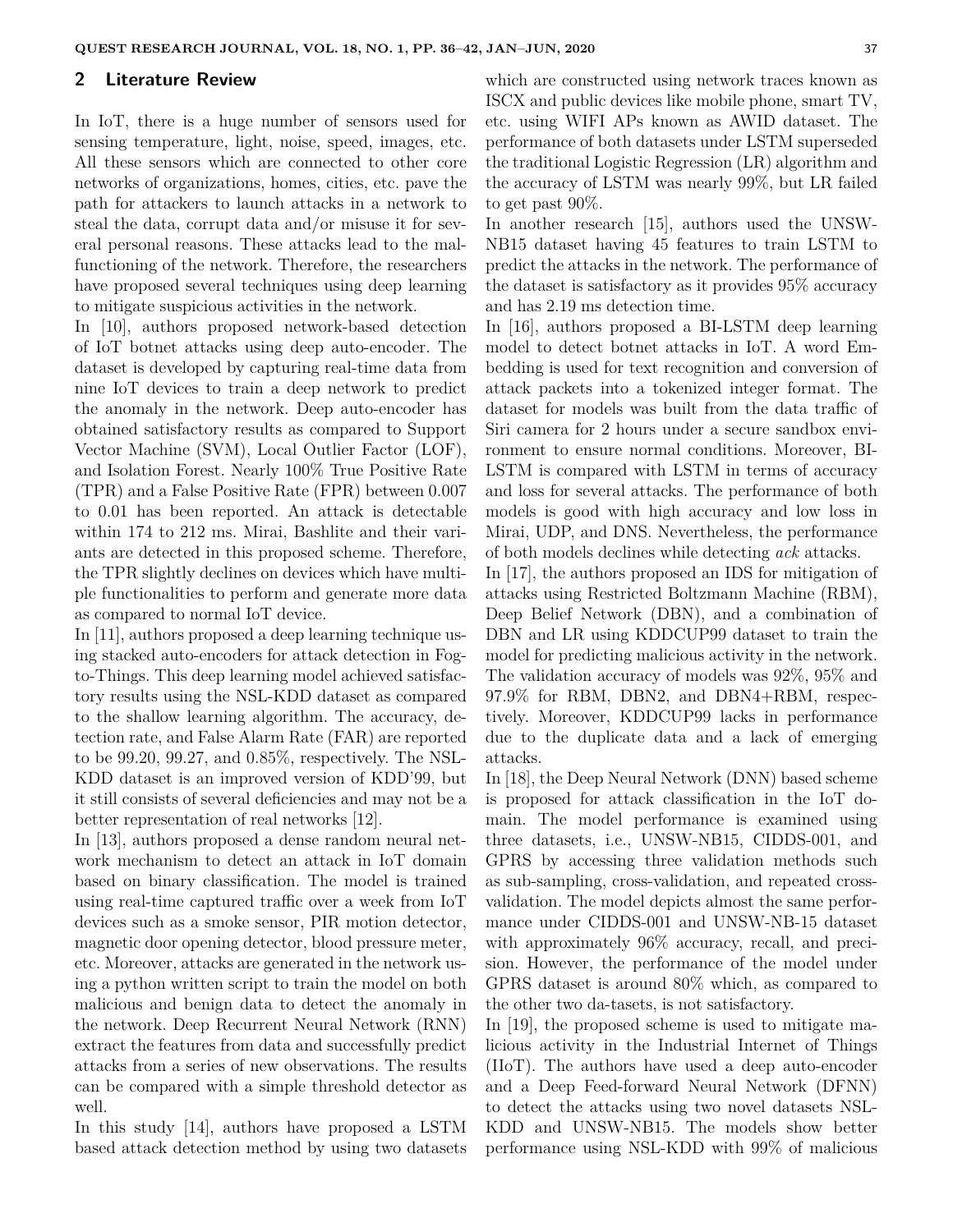#### **2 Literature Review**

In IoT, there is a huge number of sensors used for sensing temperature, light, noise, speed, images, etc. All these sensors which are connected to other core networks of organizations, homes, cities, etc. pave the path for attackers to launch attacks in a network to steal the data, corrupt data and/or misuse it for several personal reasons. These attacks lead to the malfunctioning of the network. Therefore, the researchers have proposed several techniques using deep learning to mitigate suspicious activities in the network.

In [10], authors proposed network-based detection of IoT botnet attacks using deep auto-encoder. The dataset is developed by capturing real-time data from nine IoT devices to train a deep network to predict the anomaly in the network. Deep auto-encoder has obtained satisfactory results as compared to Support Vector Machine (SVM), Local Outlier Factor (LOF), and Isolation Forest. Nearly 100% True Positive Rate (TPR) and a False Positive Rate (FPR) between 0.007 to 0.01 has been reported. An attack is detectable within 174 to 212 ms. Mirai, Bashlite and their variants are detected in this proposed scheme. Therefore, the TPR slightly declines on devices which have multiple functionalities to perform and generate more data as compared to normal IoT device.

In [11], authors proposed a deep learning technique using stacked auto-encoders for attack detection in Fogto-Things. This deep learning model achieved satisfactory results using the NSL-KDD dataset as compared to the shallow learning algorithm. The accuracy, detection rate, and False Alarm Rate (FAR) are reported to be 99.20, 99.27, and 0.85%, respectively. The NSL-KDD dataset is an improved version of KDD'99, but it still consists of several deficiencies and may not be a better representation of real networks [12].

In [13], authors proposed a dense random neural network mechanism to detect an attack in IoT domain based on binary classification. The model is trained using real-time captured traffic over a week from IoT devices such as a smoke sensor, PIR motion detector, magnetic door opening detector, blood pressure meter, etc. Moreover, attacks are generated in the network using a python written script to train the model on both malicious and benign data to detect the anomaly in the network. Deep Recurrent Neural Network (RNN) extract the features from data and successfully predict attacks from a series of new observations. The results can be compared with a simple threshold detector as well.

In this study [14], authors have proposed a LSTM based attack detection method by using two datasets

which are constructed using network traces known as ISCX and public devices like mobile phone, smart TV, etc. using WIFI APs known as AWID dataset. The performance of both datasets under LSTM superseded the traditional Logistic Regression (LR) algorithm and the accuracy of LSTM was nearly 99%, but LR failed to get past 90%.

In another research [15], authors used the UNSW-NB15 dataset having 45 features to train LSTM to predict the attacks in the network. The performance of the dataset is satisfactory as it provides 95% accuracy and has 2.19 ms detection time.

In [16], authors proposed a BI-LSTM deep learning model to detect botnet attacks in IoT. A word Embedding is used for text recognition and conversion of attack packets into a tokenized integer format. The dataset for models was built from the data traffic of Siri camera for 2 hours under a secure sandbox environment to ensure normal conditions. Moreover, BI-LSTM is compared with LSTM in terms of accuracy and loss for several attacks. The performance of both models is good with high accuracy and low loss in Mirai, UDP, and DNS. Nevertheless, the performance of both models declines while detecting *ack* attacks.

In [17], the authors proposed an IDS for mitigation of attacks using Restricted Boltzmann Machine (RBM), Deep Belief Network (DBN), and a combination of DBN and LR using KDDCUP99 dataset to train the model for predicting malicious activity in the network. The validation accuracy of models was 92%, 95% and 97.9% for RBM, DBN2, and DBN4+RBM, respectively. Moreover, KDDCUP99 lacks in performance due to the duplicate data and a lack of emerging attacks.

In [18], the Deep Neural Network (DNN) based scheme is proposed for attack classification in the IoT domain. The model performance is examined using three datasets, i.e., UNSW-NB15, CIDDS-001, and GPRS by accessing three validation methods such as sub-sampling, cross-validation, and repeated crossvalidation. The model depicts almost the same performance under CIDDS-001 and UNSW-NB-15 dataset with approximately 96% accuracy, recall, and precision. However, the performance of the model under GPRS dataset is around 80% which, as compared to the other two da-tasets, is not satisfactory.

In [19], the proposed scheme is used to mitigate malicious activity in the Industrial Internet of Things (IIoT). The authors have used a deep auto-encoder and a Deep Feed-forward Neural Network (DFNN) to detect the attacks using two novel datasets NSL-KDD and UNSW-NB15. The models show better performance using NSL-KDD with 99% of malicious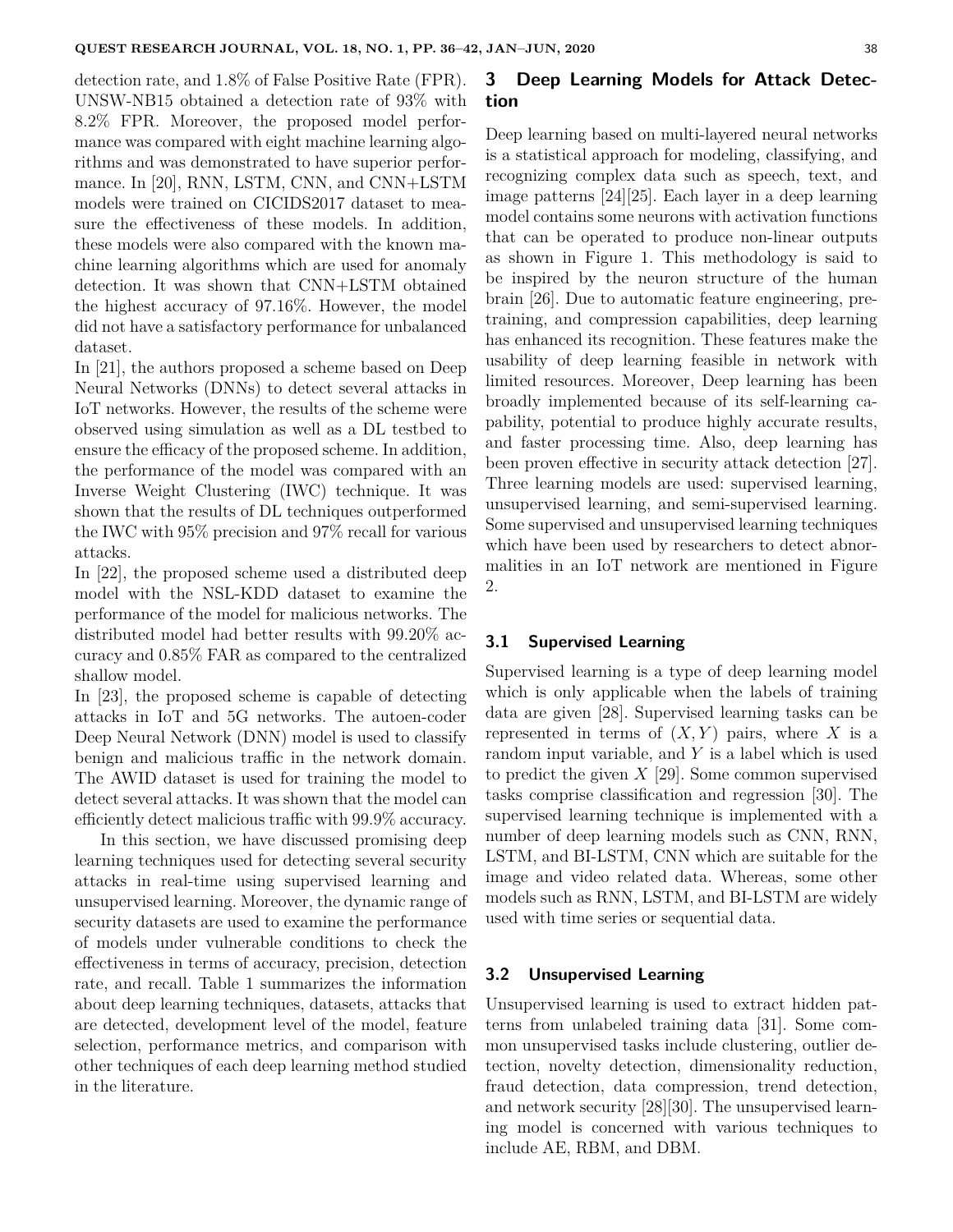detection rate, and 1.8% of False Positive Rate (FPR). UNSW-NB15 obtained a detection rate of 93% with 8.2% FPR. Moreover, the proposed model performance was compared with eight machine learning algorithms and was demonstrated to have superior performance. In [20], RNN, LSTM, CNN, and CNN+LSTM models were trained on CICIDS2017 dataset to measure the effectiveness of these models. In addition, these models were also compared with the known machine learning algorithms which are used for anomaly detection. It was shown that CNN+LSTM obtained the highest accuracy of 97.16%. However, the model did not have a satisfactory performance for unbalanced dataset.

In [21], the authors proposed a scheme based on Deep Neural Networks (DNNs) to detect several attacks in IoT networks. However, the results of the scheme were observed using simulation as well as a DL testbed to ensure the efficacy of the proposed scheme. In addition, the performance of the model was compared with an Inverse Weight Clustering (IWC) technique. It was shown that the results of DL techniques outperformed the IWC with 95% precision and 97% recall for various attacks.

In [22], the proposed scheme used a distributed deep model with the NSL-KDD dataset to examine the performance of the model for malicious networks. The distributed model had better results with 99.20% accuracy and 0.85% FAR as compared to the centralized shallow model.

In [23], the proposed scheme is capable of detecting attacks in IoT and 5G networks. The autoen-coder Deep Neural Network (DNN) model is used to classify benign and malicious traffic in the network domain. The AWID dataset is used for training the model to detect several attacks. It was shown that the model can efficiently detect malicious traffic with 99.9% accuracy.

In this section, we have discussed promising deep learning techniques used for detecting several security attacks in real-time using supervised learning and unsupervised learning. Moreover, the dynamic range of security datasets are used to examine the performance of models under vulnerable conditions to check the effectiveness in terms of accuracy, precision, detection rate, and recall. Table 1 summarizes the information about deep learning techniques, datasets, attacks that are detected, development level of the model, feature selection, performance metrics, and comparison with other techniques of each deep learning method studied in the literature.

# **3 Deep Learning Models for Attack Detection**

Deep learning based on multi-layered neural networks is a statistical approach for modeling, classifying, and recognizing complex data such as speech, text, and image patterns [24][25]. Each layer in a deep learning model contains some neurons with activation functions that can be operated to produce non-linear outputs as shown in Figure 1. This methodology is said to be inspired by the neuron structure of the human brain [26]. Due to automatic feature engineering, pretraining, and compression capabilities, deep learning has enhanced its recognition. These features make the usability of deep learning feasible in network with limited resources. Moreover, Deep learning has been broadly implemented because of its self-learning capability, potential to produce highly accurate results, and faster processing time. Also, deep learning has been proven effective in security attack detection [27]. Three learning models are used: supervised learning, unsupervised learning, and semi-supervised learning. Some supervised and unsupervised learning techniques which have been used by researchers to detect abnormalities in an IoT network are mentioned in Figure 2.

#### **3.1 Supervised Learning**

Supervised learning is a type of deep learning model which is only applicable when the labels of training data are given [28]. Supervised learning tasks can be represented in terms of  $(X, Y)$  pairs, where X is a random input variable, and *Y* is a label which is used to predict the given *X* [29]. Some common supervised tasks comprise classification and regression [30]. The supervised learning technique is implemented with a number of deep learning models such as CNN, RNN, LSTM, and BI-LSTM, CNN which are suitable for the image and video related data. Whereas, some other models such as RNN, LSTM, and BI-LSTM are widely used with time series or sequential data.

#### **3.2 Unsupervised Learning**

Unsupervised learning is used to extract hidden patterns from unlabeled training data [31]. Some common unsupervised tasks include clustering, outlier detection, novelty detection, dimensionality reduction, fraud detection, data compression, trend detection, and network security [28][30]. The unsupervised learning model is concerned with various techniques to include AE, RBM, and DBM.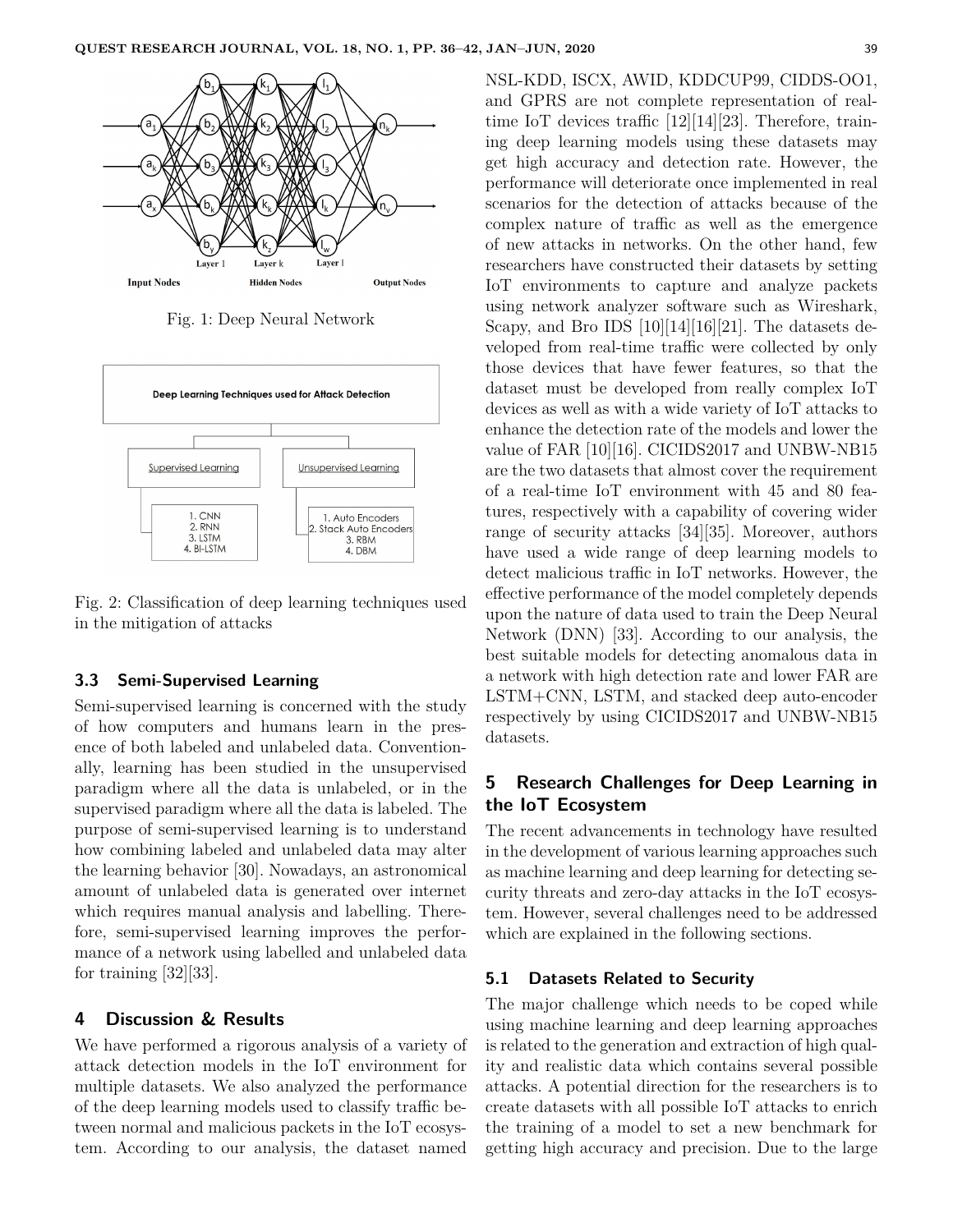

Fig. 1: Deep Neural Network



Fig. 2: Classification of deep learning techniques used in the mitigation of attacks

#### **3.3 Semi-Supervised Learning**

Semi-supervised learning is concerned with the study of how computers and humans learn in the presence of both labeled and unlabeled data. Conventionally, learning has been studied in the unsupervised paradigm where all the data is unlabeled, or in the supervised paradigm where all the data is labeled. The purpose of semi-supervised learning is to understand how combining labeled and unlabeled data may alter the learning behavior [30]. Nowadays, an astronomical amount of unlabeled data is generated over internet which requires manual analysis and labelling. Therefore, semi-supervised learning improves the performance of a network using labelled and unlabeled data for training [32][33].

## **4 Discussion & Results**

We have performed a rigorous analysis of a variety of attack detection models in the IoT environment for multiple datasets. We also analyzed the performance of the deep learning models used to classify traffic between normal and malicious packets in the IoT ecosystem. According to our analysis, the dataset named

NSL-KDD, ISCX, AWID, KDDCUP99, CIDDS-OO1, and GPRS are not complete representation of realtime IoT devices traffic [12][14][23]. Therefore, training deep learning models using these datasets may get high accuracy and detection rate. However, the performance will deteriorate once implemented in real scenarios for the detection of attacks because of the complex nature of traffic as well as the emergence of new attacks in networks. On the other hand, few researchers have constructed their datasets by setting IoT environments to capture and analyze packets using network analyzer software such as Wireshark, Scapy, and Bro IDS  $[10][14][16][21]$ . The datasets developed from real-time traffic were collected by only those devices that have fewer features, so that the dataset must be developed from really complex IoT devices as well as with a wide variety of IoT attacks to enhance the detection rate of the models and lower the value of FAR [10][16]. CICIDS2017 and UNBW-NB15 are the two datasets that almost cover the requirement of a real-time IoT environment with 45 and 80 features, respectively with a capability of covering wider range of security attacks [34][35]. Moreover, authors have used a wide range of deep learning models to detect malicious traffic in IoT networks. However, the effective performance of the model completely depends upon the nature of data used to train the Deep Neural Network (DNN) [33]. According to our analysis, the best suitable models for detecting anomalous data in a network with high detection rate and lower FAR are LSTM+CNN, LSTM, and stacked deep auto-encoder respectively by using CICIDS2017 and UNBW-NB15 datasets.

# **5 Research Challenges for Deep Learning in the IoT Ecosystem**

The recent advancements in technology have resulted in the development of various learning approaches such as machine learning and deep learning for detecting security threats and zero-day attacks in the IoT ecosystem. However, several challenges need to be addressed which are explained in the following sections.

## **5.1 Datasets Related to Security**

The major challenge which needs to be coped while using machine learning and deep learning approaches is related to the generation and extraction of high quality and realistic data which contains several possible attacks. A potential direction for the researchers is to create datasets with all possible IoT attacks to enrich the training of a model to set a new benchmark for getting high accuracy and precision. Due to the large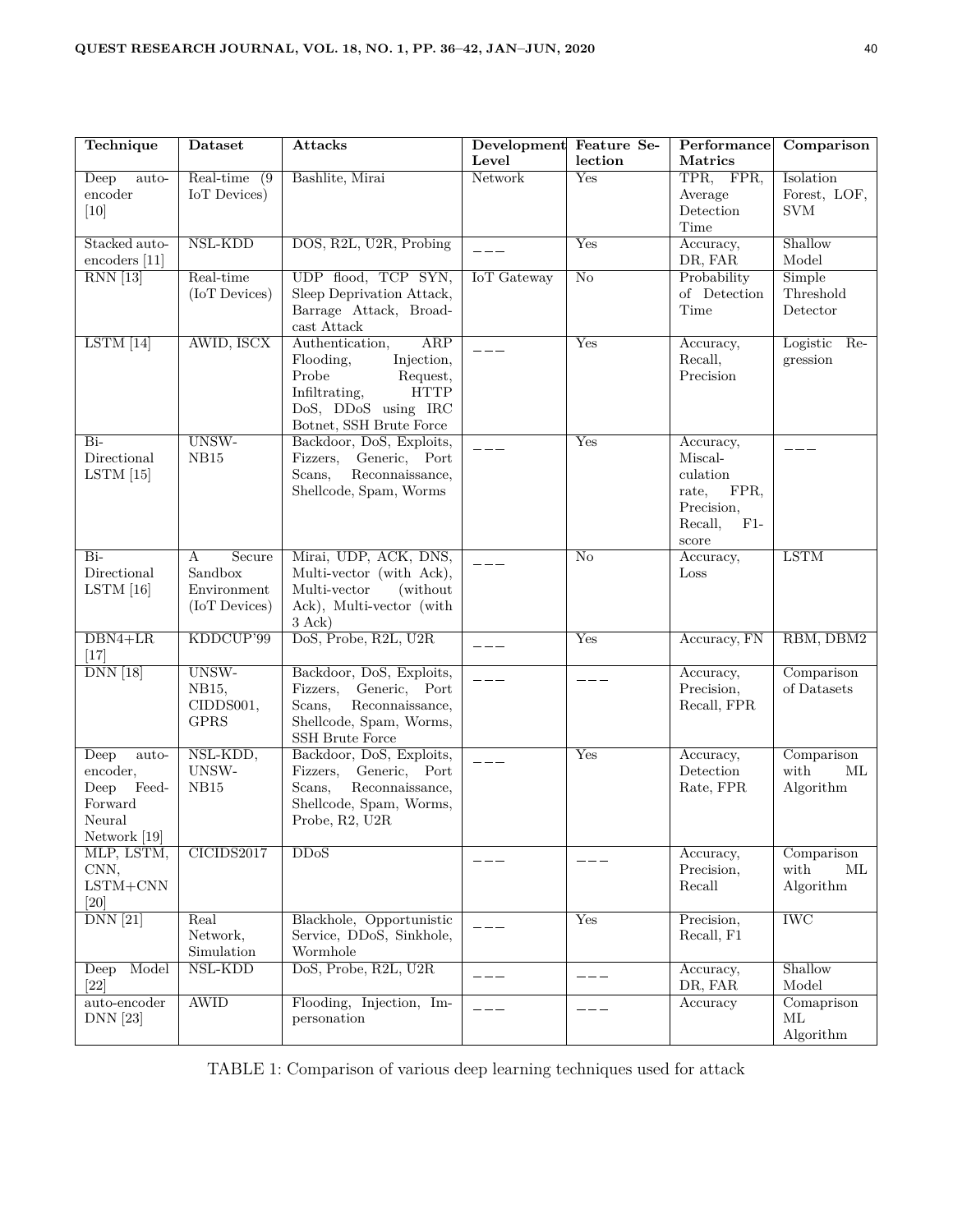| Technique                                                                                           | <b>Dataset</b>                                         | Attacks                                                                                                                                                  | Development Feature Se- |                            | Performance                                                                                  | Comparison                              |
|-----------------------------------------------------------------------------------------------------|--------------------------------------------------------|----------------------------------------------------------------------------------------------------------------------------------------------------------|-------------------------|----------------------------|----------------------------------------------------------------------------------------------|-----------------------------------------|
| Deep<br>auto-<br>encoder<br>[10]                                                                    | Real-time<br>(9)<br>IoT Devices)                       | Bashlite, Mirai                                                                                                                                          | Level<br>Network        | lection<br>Yes             | Matrics<br>TPR, FPR,<br>Average<br>Detection<br>Time                                         | Isolation<br>Forest, LOF,<br><b>SVM</b> |
| Stacked auto-<br>encoders [11]                                                                      | NSL-KDD                                                | DOS, R2L, U2R, Probing                                                                                                                                   | $---$                   | Yes                        | Accuracy,<br>DR, FAR                                                                         | Shallow<br>Model                        |
| $RNN$ <sup>[13]</sup>                                                                               | Real-time<br>(IoT Devices)                             | UDP flood, TCP SYN,<br>Sleep Deprivation Attack,<br>Barrage Attack, Broad-<br>cast Attack                                                                | <b>IoT</b> Gateway      | No                         | Probability<br>of Detection<br>Time                                                          | Simple<br>Threshold<br>Detector         |
| LSTM [14]                                                                                           | AWID, ISCX                                             | Authentication,<br>ARP<br>Flooding,<br>Injection,<br>Probe<br>Request,<br><b>HTTP</b><br>Infiltrating,<br>DoS, DDoS using IRC<br>Botnet, SSH Brute Force |                         | Yes                        | Accuracy,<br>Recall,<br>Precision                                                            | Logistic Re-<br>gression                |
| $Bi-$<br>Directional<br>$LSTM$ [15]                                                                 | UNSW-<br>NB15                                          | Backdoor, DoS, Exploits,<br>Fizzers,<br>Generic, Port<br>Reconnaissance,<br>Scans,<br>Shellcode, Spam, Worms                                             |                         | Yes                        | Accuracy,<br>Miscal-<br>culation<br>FPR,<br>rate,<br>Precision,<br>Recall,<br>$F1-$<br>score |                                         |
| $Bi-$<br>Directional<br>$LSTM$ [16]                                                                 | Secure<br>А<br>Sandbox<br>Environment<br>(IoT Devices) | Mirai, UDP, ACK, DNS,<br>Multi-vector (with Ack),<br>Multi-vector<br>(without)<br>Ack), Multi-vector (with<br>$3 \text{ Ack}$                            | $---$                   | $\overline{\text{No}}$     | Accuracy,<br>Loss                                                                            | <b>LSTM</b>                             |
| $DBN4+LR$<br>$[17]$                                                                                 | KDDCUP'99                                              | DoS, Probe, R2L, U2R                                                                                                                                     | $---$                   | Yes                        | Accuracy, FN                                                                                 | RBM, DBM2                               |
| $DNN$ [18]                                                                                          | UNSW-<br>NB15,<br>CIDDS001,<br><b>GPRS</b>             | Backdoor, DoS, Exploits,<br>Fizzers, Generic, Port<br>Reconnaissance,<br>Scans,<br>Shellcode, Spam, Worms,<br>SSH Brute Force                            |                         |                            | Accuracy,<br>Precision,<br>Recall, FPR                                                       | Comparison<br>of Datasets               |
| $\overline{\text{Deep}}$<br>auto-<br>encoder,<br>Deep<br>Feed-<br>Forward<br>Neural<br>Network [19] | NSL-KDD,<br>UNSW-<br>NB15                              | Backdoor, DoS, Exploits,<br>Fizzers, Generic, Port<br>Reconnaissance,<br>Scans,<br>Shellcode, Spam, Worms,<br>Probe, R2, U2R                             |                         | Yes                        | Accuracy,<br>Detection<br>Rate, FPR                                                          | Comparison<br>with<br>ML<br>Algorithm   |
| MLP, LSTM,<br>CNN,<br>$LSTM + CNN$<br>[20]                                                          | CICIDS2017                                             | DDoS                                                                                                                                                     |                         |                            | Accuracy,<br>Precision,<br>Recall                                                            | Comparison<br>with<br>ML<br>Algorithm   |
| $DNN$ <sup>[21]</sup>                                                                               | Real<br>Network,<br>Simulation                         | Blackhole, Opportunistic<br>Service, DDoS, Sinkhole,<br>Wormhole                                                                                         | $- - -$                 | $\overline{\mathrm{Yes}}$  | Precision,<br>Recall, F1                                                                     | $\overline{\text{IWC}}$                 |
| Model<br>Deep<br>$[22]$                                                                             | $NSL-KDD$                                              | DoS, Probe, R2L, U2R                                                                                                                                     | $  -$                   | $\qquad \qquad - \qquad -$ | Accuracy,<br>DR, FAR                                                                         | Shallow<br>Model                        |
| $\overline{\text{auto-encoder}}$<br><b>DNN</b> [23]                                                 | <b>AWID</b>                                            | Flooding, Injection, Im-<br>personation                                                                                                                  |                         |                            | Accuracy                                                                                     | Comaprison<br>ML<br>Algorithm           |

TABLE 1: Comparison of various deep learning techniques used for attack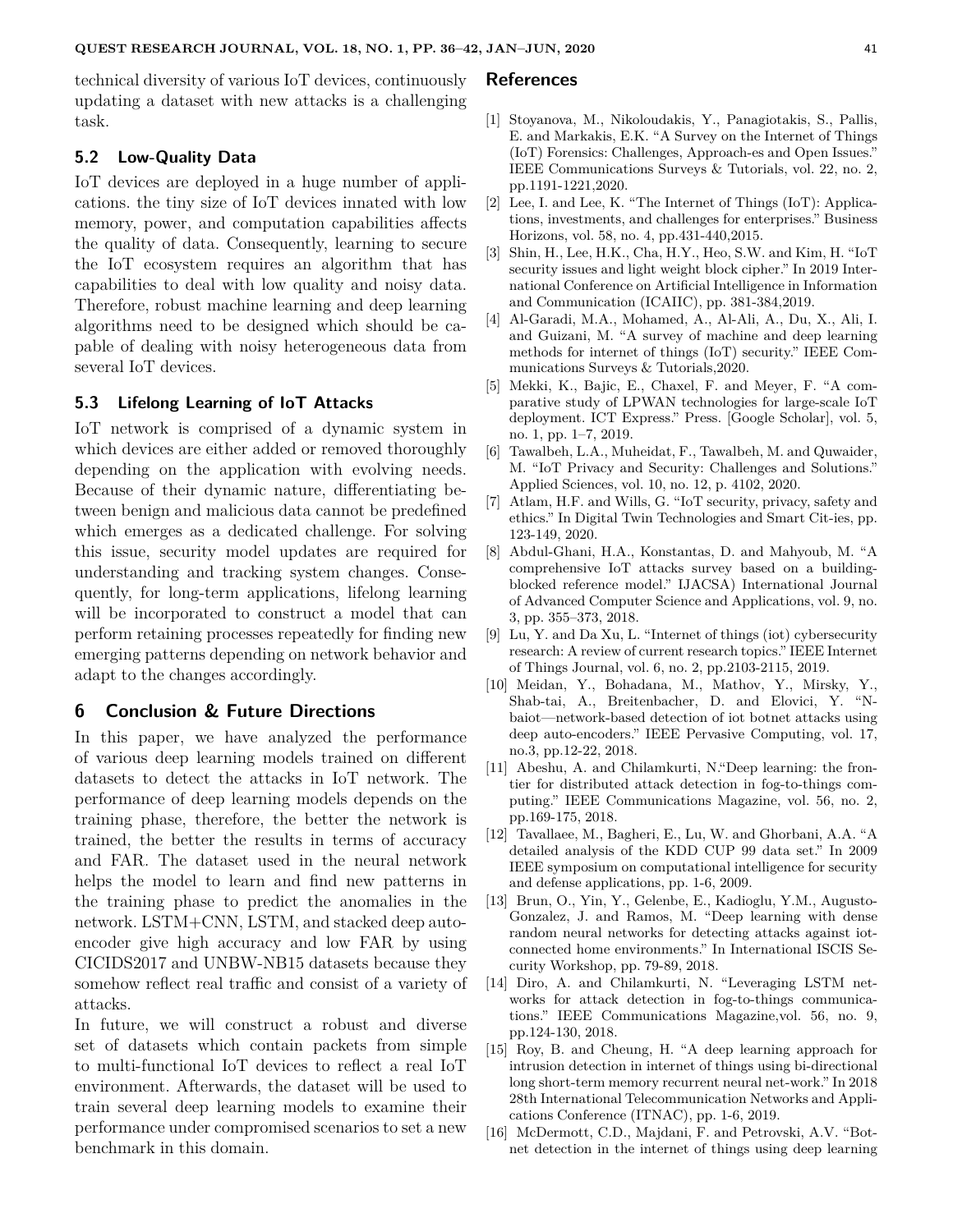technical diversity of various IoT devices, continuously updating a dataset with new attacks is a challenging task.

#### **5.2 Low-Quality Data**

IoT devices are deployed in a huge number of applications. the tiny size of IoT devices innated with low memory, power, and computation capabilities affects the quality of data. Consequently, learning to secure the IoT ecosystem requires an algorithm that has capabilities to deal with low quality and noisy data. Therefore, robust machine learning and deep learning algorithms need to be designed which should be capable of dealing with noisy heterogeneous data from several IoT devices.

#### **5.3 Lifelong Learning of IoT Attacks**

IoT network is comprised of a dynamic system in which devices are either added or removed thoroughly depending on the application with evolving needs. Because of their dynamic nature, differentiating between benign and malicious data cannot be predefined which emerges as a dedicated challenge. For solving this issue, security model updates are required for understanding and tracking system changes. Consequently, for long-term applications, lifelong learning will be incorporated to construct a model that can perform retaining processes repeatedly for finding new emerging patterns depending on network behavior and adapt to the changes accordingly.

#### **6 Conclusion & Future Directions**

In this paper, we have analyzed the performance of various deep learning models trained on different datasets to detect the attacks in IoT network. The performance of deep learning models depends on the training phase, therefore, the better the network is trained, the better the results in terms of accuracy and FAR. The dataset used in the neural network helps the model to learn and find new patterns in the training phase to predict the anomalies in the network. LSTM+CNN, LSTM, and stacked deep autoencoder give high accuracy and low FAR by using CICIDS2017 and UNBW-NB15 datasets because they somehow reflect real traffic and consist of a variety of attacks.

In future, we will construct a robust and diverse set of datasets which contain packets from simple to multi-functional IoT devices to reflect a real IoT environment. Afterwards, the dataset will be used to train several deep learning models to examine their performance under compromised scenarios to set a new benchmark in this domain.

#### **References**

- [1] Stoyanova, M., Nikoloudakis, Y., Panagiotakis, S., Pallis, E. and Markakis, E.K. "A Survey on the Internet of Things (IoT) Forensics: Challenges, Approach-es and Open Issues." IEEE Communications Surveys & Tutorials, vol. 22, no. 2, pp.1191-1221,2020.
- [2] Lee, I. and Lee, K. "The Internet of Things (IoT): Applications, investments, and challenges for enterprises." Business Horizons, vol. 58, no. 4, pp.431-440,2015.
- [3] Shin, H., Lee, H.K., Cha, H.Y., Heo, S.W. and Kim, H. "IoT security issues and light weight block cipher." In 2019 International Conference on Artificial Intelligence in Information and Communication (ICAIIC), pp. 381-384,2019.
- [4] Al-Garadi, M.A., Mohamed, A., Al-Ali, A., Du, X., Ali, I. and Guizani, M. "A survey of machine and deep learning methods for internet of things (IoT) security." IEEE Communications Surveys & Tutorials,2020.
- [5] Mekki, K., Bajic, E., Chaxel, F. and Meyer, F. "A comparative study of LPWAN technologies for large-scale IoT deployment. ICT Express." Press. [Google Scholar], vol. 5, no. 1, pp. 1–7, 2019.
- [6] Tawalbeh, L.A., Muheidat, F., Tawalbeh, M. and Quwaider, M. "IoT Privacy and Security: Challenges and Solutions." Applied Sciences, vol. 10, no. 12, p. 4102, 2020.
- [7] Atlam, H.F. and Wills, G. "IoT security, privacy, safety and ethics." In Digital Twin Technologies and Smart Cit-ies, pp. 123-149, 2020.
- [8] Abdul-Ghani, H.A., Konstantas, D. and Mahyoub, M. "A comprehensive IoT attacks survey based on a buildingblocked reference model." IJACSA) International Journal of Advanced Computer Science and Applications, vol. 9, no. 3, pp. 355–373, 2018.
- [9] Lu, Y. and Da Xu, L. "Internet of things (iot) cybersecurity research: A review of current research topics." IEEE Internet of Things Journal, vol. 6, no. 2, pp.2103-2115, 2019.
- [10] Meidan, Y., Bohadana, M., Mathov, Y., Mirsky, Y., Shab-tai, A., Breitenbacher, D. and Elovici, Y. "Nbaiot—network-based detection of iot botnet attacks using deep auto-encoders." IEEE Pervasive Computing, vol. 17, no.3, pp.12-22, 2018.
- [11] Abeshu, A. and Chilamkurti, N."Deep learning: the frontier for distributed attack detection in fog-to-things computing." IEEE Communications Magazine, vol. 56, no. 2, pp.169-175, 2018.
- [12] Tavallaee, M., Bagheri, E., Lu, W. and Ghorbani, A.A. "A detailed analysis of the KDD CUP 99 data set." In 2009 IEEE symposium on computational intelligence for security and defense applications, pp. 1-6, 2009.
- [13] Brun, O., Yin, Y., Gelenbe, E., Kadioglu, Y.M., Augusto-Gonzalez, J. and Ramos, M. "Deep learning with dense random neural networks for detecting attacks against iotconnected home environments." In International ISCIS Security Workshop, pp. 79-89, 2018.
- [14] Diro, A. and Chilamkurti, N. "Leveraging LSTM networks for attack detection in fog-to-things communications." IEEE Communications Magazine,vol. 56, no. 9, pp.124-130, 2018.
- [15] Roy, B. and Cheung, H. "A deep learning approach for intrusion detection in internet of things using bi-directional long short-term memory recurrent neural net-work." In 2018 28th International Telecommunication Networks and Applications Conference (ITNAC), pp. 1-6, 2019.
- [16] McDermott, C.D., Majdani, F. and Petrovski, A.V. "Botnet detection in the internet of things using deep learning